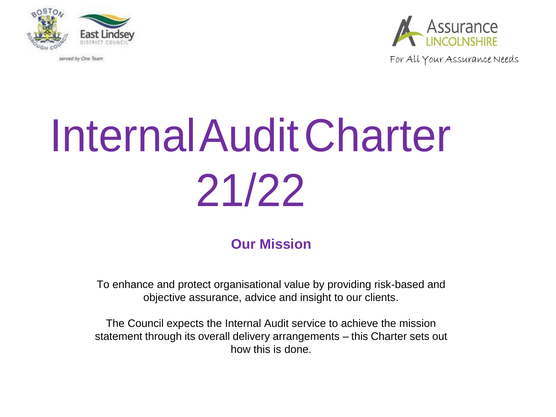

served by One Team



For All Your Assurance Needs

# InternalAuditCharter 21/22

# **Our Mission**

To enhance and protect organisational value by providing risk-based and objective assurance, advice and insight to our clients.

The Council expects the Internal Audit service to achieve the mission statement through its overall delivery arrangements – this Charter sets out how this is done.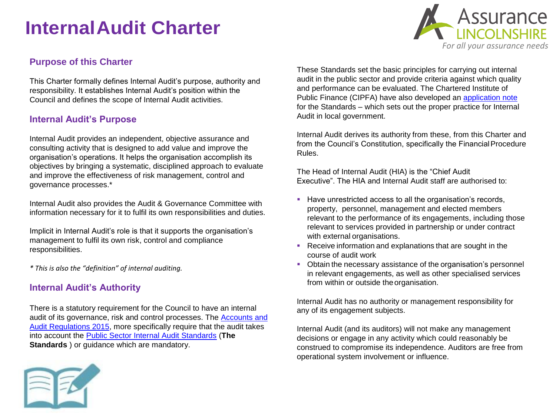# **Purpose of this Charter**

This Charter formally defines Internal Audit's purpose, authority and responsibility. It establishes Internal Audit's position within the Council and defines the scope of Internal Audit activities.

## **Internal Audit's Purpose**

Internal Audit provides an independent, objective assurance and consulting activity that is designed to add value and improve the organisation's operations. It helps the organisation accomplish its objectives by bringing a systematic, disciplined approach to evaluate and improve the effectiveness of risk management, control and governance processes.\*

Internal Audit also provides the Audit & Governance Committee with information necessary for it to fulfil its own responsibilities and duties.

Implicit in Internal Audit's role is that it supports the organisation's management to fulfil its own risk, control and compliance responsibilities.

*\* This is also the "definition" of internal auditing.*

# **Internal Audit's Authority**

There is a statutory requirement for the Council to have an internal [audit of its governance, risk and control processes. The Accounts and](http://www.legislation.gov.uk/uksi/2015/234/pdfs/uksi_20150234_en.pdf) [Audit Regulations 2015, more specifically require that the audit takes](http://www.legislation.gov.uk/uksi/2015/234/pdfs/uksi_20150234_en.pdf) into account the [Public Sector Internal Audit Standards](http://www.cipfa.org/policy-and-guidance/standards/public-sector-internal-audit-standards) (**The Standards** ) or guidance which are mandatory.



These Standards set the basic principles for carrying out internal audit in the public sector and provide criteria against which quality and performance can be evaluated. The Chartered Institute of Public Finance (CIPFA) have also developed an application note for the Standards – which sets out the proper practice for Internal Audit in local government.

Internal Audit derives its authority from these, from this Charter and from the Council's Constitution, specifically the Financial Procedure Rules.

The Head of Internal Audit (HIA) is the "Chief Audit Executive". The HIA and Internal Audit staff are authorised to:

- Have unrestricted access to all the organisation's records, property, personnel, management and elected members relevant to the performance of its engagements, including those relevant to services provided in partnership or under contract with external organisations.
- **Receive information and explanations that are sought in the** course of audit work
- Obtain the necessary assistance of the organisation's personnel in relevant engagements, as well as other specialised services from within or outside the organisation.

Internal Audit has no authority or management responsibility for any of its engagement subjects.

Internal Audit (and its auditors) will not make any management decisions or engage in any activity which could reasonably be construed to compromise its independence. Auditors are free from operational system involvement or influence.

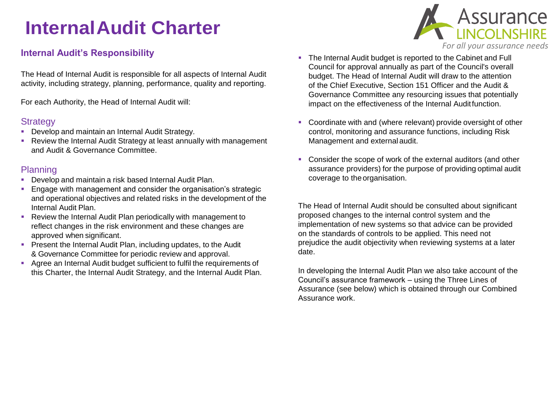# **Internal Audit's Responsibility**

The Head of Internal Audit is responsible for all aspects of Internal Audit activity, including strategy, planning, performance, quality and reporting.

For each Authority, the Head of Internal Audit will:

## **Strategy**

- **Develop and maintain an Internal Audit Strategy.**
- Review the Internal Audit Strategy at least annually with management and Audit & Governance Committee.

## Planning

- **Develop and maintain a risk based Internal Audit Plan.**
- **Engage with management and consider the organisation's strategic** and operational objectives and related risks in the development of the Internal Audit Plan.
- Review the Internal Audit Plan periodically with management to reflect changes in the risk environment and these changes are approved when significant.
- **Present the Internal Audit Plan, including updates, to the Audit** & Governance Committee for periodic review and approval.
- Agree an Internal Audit budget sufficient to fulfil the requirements of this Charter, the Internal Audit Strategy, and the Internal Audit Plan.
- The Internal Audit budget is reported to the Cabinet and Full Council for approval annually as part of the Council's overall budget. The Head of Internal Audit will draw to the attention of the Chief Executive, Section 151 Officer and the Audit & Governance Committee any resourcing issues that potentially impact on the effectiveness of the Internal Auditfunction.
- Coordinate with and (where relevant) provide oversight of other control, monitoring and assurance functions, including Risk Management and external audit.
- Consider the scope of work of the external auditors (and other assurance providers) for the purpose of providing optimal audit coverage to the organisation.

The Head of Internal Audit should be consulted about significant proposed changes to the internal control system and the implementation of new systems so that advice can be provided on the standards of controls to be applied. This need not prejudice the audit objectivity when reviewing systems at a later date.

In developing the Internal Audit Plan we also take account of the Council's assurance framework – using the Three Lines of Assurance (see below) which is obtained through our Combined Assurance work.

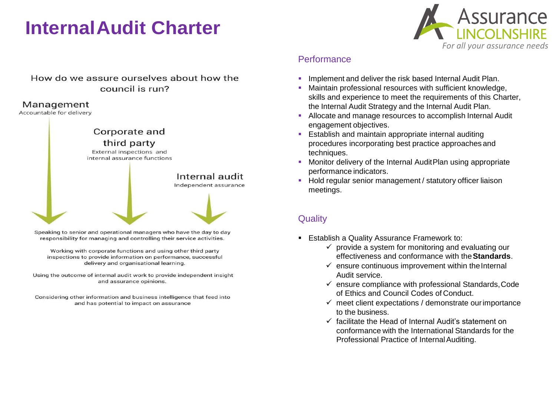

## How do we assure ourselves about how the council is run?

#### Management

Accountable for delivery



Speaking to senior and operational managers who have the day to day responsibility for managing and controlling their service activities.

Working with corporate functions and using other third party inspections to provide information on performance, successful delivery and organisational learning.

Using the outcome of internal audit work to provide independent insight and assurance opinions.

Considering other information and business intelligence that feed into and has potential to impact on assurance

# **Performance**

- Implement and deliver the risk based Internal Audit Plan.
- Maintain professional resources with sufficient knowledge, skills and experience to meet the requirements of this Charter, the Internal Audit Strategy and the Internal Audit Plan.
- **Allocate and manage resources to accomplish Internal Audit** engagement objectives.
- **Establish and maintain appropriate internal auditing** procedures incorporating best practice approaches and techniques.
- **Monitor delivery of the Internal Audit Plan using appropriate** performance indicators.
- Hold regular senior management / statutory officer liaison meetings.

# **Quality**

- **Establish a Quality Assurance Framework to:** 
	- $\checkmark$  provide a system for monitoring and evaluating our effectiveness and conformance with the**Standards**.
	- $\checkmark$  ensure continuous improvement within the Internal Audit service.
	- $\checkmark$  ensure compliance with professional Standards, Code of Ethics and Council Codes of Conduct.
	- $\checkmark$  meet client expectations / demonstrate our importance to the business.
	- $\checkmark$  facilitate the Head of Internal Audit's statement on conformance with the International Standards for the Professional Practice of Internal Auditing.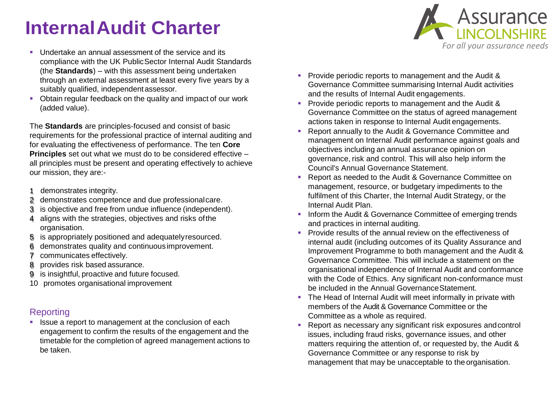- **Undertake an annual assessment of the service and its** compliance with the UK PublicSector Internal Audit Standards (the **Standards**) – with this assessment being undertaken through an external assessment at least every five years by a suitably qualified, independentassessor.
- Obtain regular feedback on the quality and impact of our work (added value).

The **Standards** are principles-focused and consist of basic requirements for the professional practice of internal auditing and for evaluating the effectiveness of performance. The ten **Core Principles** set out what we must do to be considered effective – all principles must be present and operating effectively to achieve our mission, they are:-

- 1 demonstrates integrity.
- 2 demonstrates competence and due professionalcare.
- 3 is objective and free from undue influence (independent).
- 4 aligns with the strategies, objectives and risks ofthe organisation.
- 5 is appropriately positioned and adequatelyresourced.
- 6 demonstrates quality and continuous improvement.
- 7 communicates effectively.
- 8 provides risk based assurance.
- 9 is insightful, proactive and future focused.
- 10 promotes organisational improvement

# **Reporting**

**In Itsue a report to management at the conclusion of each** engagement to confirm the results of the engagement and the timetable for the completion of agreed management actions to be taken.

- **Provide periodic reports to management and the Audit &** Governance Committee summarising Internal Audit activities and the results of Internal Audit engagements.
- **Provide periodic reports to management and the Audit &** Governance Committee on the status of agreed management actions taken in response to Internal Audit engagements.
- Report annually to the Audit & Governance Committee and management on Internal Audit performance against goals and objectives including an annual assurance opinion on governance, risk and control. This will also help inform the Council's Annual Governance Statement.
- **Report as needed to the Audit & Governance Committee on** management, resource, or budgetary impediments to the fulfilment of this Charter, the Internal Audit Strategy, or the Internal Audit Plan.
- **Inform the Audit & Governance Committee of emerging trends** and practices in internal auditing.
- **Provide results of the annual review on the effectiveness of** internal audit (including outcomes of its Quality Assurance and Improvement Programme to both management and the Audit & Governance Committee. This will include a statement on the organisational independence of Internal Audit and conformance with the Code of Ethics. Any significant non-conformance must be included in the Annual GovernanceStatement.
- The Head of Internal Audit will meet informally in private with members of the Audit & Governance Committee or the Committee as a whole as required.
- Report as necessary any significant risk exposures andcontrol issues, including fraud risks, governance issues, and other matters requiring the attention of, or requested by, the Audit & Governance Committee or any response to risk by management that may be unacceptable to the organisation.

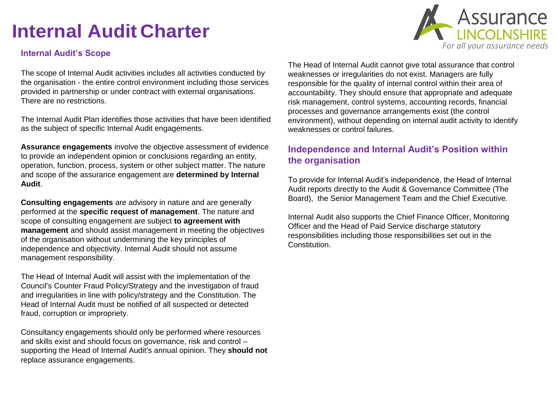## **Internal Audit's Scope**

The scope of Internal Audit activities includes all activities conducted by the organisation - the entire control environment including those services provided in partnership or under contract with external organisations. There are no restrictions.

The Internal Audit Plan identifies those activities that have been identified as the subject of specific Internal Audit engagements.

**Assurance engagements** involve the objective assessment of evidence to provide an independent opinion or conclusions regarding an entity, operation, function, process, system or other subject matter. The nature and scope of the assurance engagement are **determined by Internal Audit**.

**Consulting engagements** are advisory in nature and are generally performed at the **specific request of management**. The nature and scope of consulting engagement are subject **to agreement with management** and should assist management in meeting the objectives of the organisation without undermining the key principles of independence and objectivity. Internal Audit should not assume management responsibility.

The Head of Internal Audit will assist with the implementation of the Council's Counter Fraud Policy/Strategy and the investigation of fraud and irregularities in line with policy/strategy and the Constitution. The Head of Internal Audit must be notified of all suspected or detected fraud, corruption or impropriety.

Consultancy engagements should only be performed where resources and skills exist and should focus on governance, risk and control – supporting the Head of Internal Audit's annual opinion. They **should not**  replace assurance engagements.



The Head of Internal Audit cannot give total assurance that control weaknesses or irregularities do not exist. Managers are fully responsible for the quality of internal control within their area of accountability. They should ensure that appropriate and adequate risk management, control systems, accounting records, financial processes and governance arrangements exist (the control environment), without depending on internal audit activity to identify weaknesses or control failures.

# **Independence and Internal Audit's Position within the organisation**

To provide for Internal Audit's independence, the Head of Internal Audit reports directly to the Audit & Governance Committee (The Board), the Senior Management Team and the Chief Executive.

Internal Audit also supports the Chief Finance Officer, Monitoring Officer and the Head of Paid Service discharge statutory responsibilities including those responsibilities set out in the Constitution.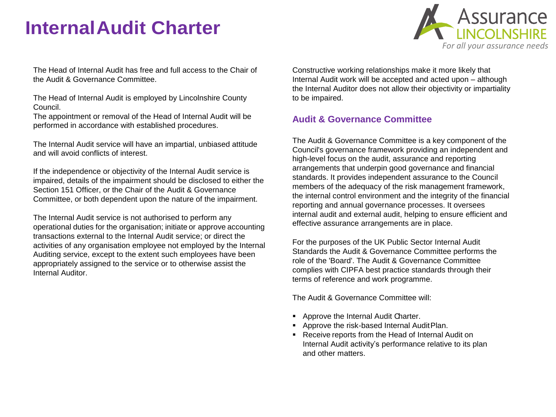

The Head of Internal Audit has free and full access to the Chair of the Audit & Governance Committee.

The Head of Internal Audit is employed by Lincolnshire County Council.

The appointment or removal of the Head of Internal Audit will be performed in accordance with established procedures.

The Internal Audit service will have an impartial, unbiased attitude and will avoid conflicts of interest.

If the independence or objectivity of the Internal Audit service is impaired, details of the impairment should be disclosed to either the Section 151 Officer, or the Chair of the Audit & Governance Committee, or both dependent upon the nature of the impairment.

The Internal Audit service is not authorised to perform any operational duties for the organisation; initiate or approve accounting transactions external to the Internal Audit service; or direct the activities of any organisation employee not employed by the Internal Auditing service, except to the extent such employees have been appropriately assigned to the service or to otherwise assist the Internal Auditor.

Constructive working relationships make it more likely that Internal Audit work will be accepted and acted upon – although the Internal Auditor does not allow their objectivity or impartiality to be impaired.

# **Audit & Governance Committee**

The Audit & Governance Committee is a key component of the Council's governance framework providing an independent and high-level focus on the audit, assurance and reporting arrangements that underpin good governance and financial standards. It provides independent assurance to the Council members of the adequacy of the risk management framework, the internal control environment and the integrity of the financial reporting and annual governance processes. It oversees internal audit and external audit, helping to ensure efficient and effective assurance arrangements are in place.

For the purposes of the UK Public Sector Internal Audit Standards the Audit & Governance Committee performs the role of the 'Board'. The Audit & Governance Committee complies with CIPFA best practice standards through their terms of reference and work programme.

The Audit & Governance Committee will:

- **Approve the Internal Audit Charter.**
- Approve the risk-based Internal AuditPlan.
- **Receive reports from the Head of Internal Audit on** Internal Audit activity's performance relative to its plan and other matters.